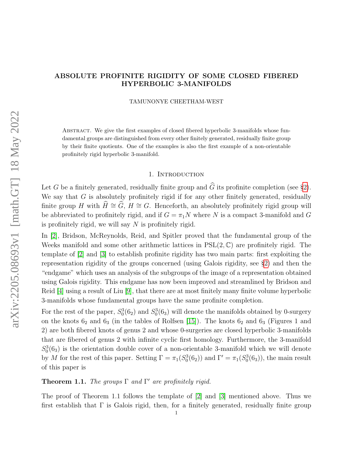## ABSOLUTE PROFINITE RIGIDITY OF SOME CLOSED FIBERED HYPERBOLIC 3-MANIFOLDS

TAMUNONYE CHEETHAM-WEST

Abstract. We give the first examples of closed fibered hyperbolic 3-manifolds whose fundamental groups are distinguished from every other finitely generated, residually finite group by their finite quotients. One of the examples is also the first example of a non-orientable profinitely rigid hyperbolic 3-manifold.

### 1. INTRODUCTION

Let G be a finitely generated, residually finite group and  $\widehat{G}$  its profinite completion (see §[2\)](#page-1-0). We say that  $G$  is absolutely profinitely rigid if for any other finitely generated, residually finite group H with  $H \cong G$ ,  $H \cong G$ . Henceforth, an absolutely profinitely rigid group will be abbreviated to profinitely rigid, and if  $G = \pi_1 N$  where N is a compact 3-manifold and G is profinitely rigid, we will say  $N$  is profinitely rigid.

In [\[2\]](#page-13-0), Bridson, McReynolds, Reid, and Spitler proved that the fundamental group of the Weeks manifold and some other arithmetic lattices in  $PSL(2,\mathbb{C})$  are profinitely rigid. The template of [\[2\]](#page-13-0) and [\[3\]](#page-13-1) to establish profinite rigidity has two main parts: first exploiting the representation rigidity of the groups concerned (using Galois rigidity, see §[2\)](#page-1-0) and then the "endgame" which uses an analysis of the subgroups of the image of a representation obtained using Galois rigidity. This endgame has now been improved and streamlined by Bridson and Reid [\[4\]](#page-13-2) using a result of Liu [\[9\]](#page-13-3), that there are at most finitely many finite volume hyperbolic 3-manifolds whose fundamental groups have the same profinite completion.

For the rest of the paper,  $S_0^3(6_2)$  and  $S_0^3(6_3)$  will denote the manifolds obtained by 0-surgery on the knots  $6_2$  and  $6_3$  (in the tables of Rolfsen [\[15\]](#page-13-4)). The knots  $6_2$  and  $6_3$  (Figures 1 and 2) are both fibered knots of genus 2 and whose 0-surgeries are closed hyperbolic 3-manifolds that are fibered of genus 2 with infinite cyclic first homology. Furthermore, the 3-manifold  $S_0^3(6_3)$  is the orientation double cover of a non-orientable 3-manifold which we will denote by M for the rest of this paper. Setting  $\Gamma = \pi_1(S_0^3(6_2))$  and  $\Gamma' = \pi_1(S_0^3(6_3))$ , the main result of this paper is

# **Theorem 1.1.** The groups  $\Gamma$  and  $\Gamma'$  are profinitely rigid.

The proof of Theorem 1.1 follows the template of [\[2\]](#page-13-0) and [\[3\]](#page-13-1) mentioned above. Thus we first establish that  $\Gamma$  is Galois rigid, then, for a finitely generated, residually finite group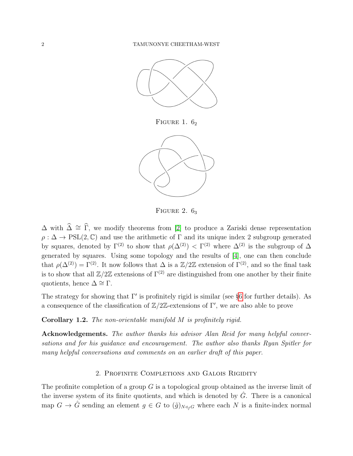

FIGURE 1.  $6<sub>2</sub>$ 



FIGURE 2.  $6_3$ 

 $\Delta$  with  $\hat{\Delta} \cong \hat{\Gamma}$ , we modify theorems from [\[2\]](#page-13-0) to produce a Zariski dense representation  $\rho : \Delta \to \text{PSL}(2, \mathbb{C})$  and use the arithmetic of  $\Gamma$  and its unique index 2 subgroup generated by squares, denoted by  $\Gamma^{(2)}$  to show that  $\rho(\Delta^{(2)}) < \Gamma^{(2)}$  where  $\Delta^{(2)}$  is the subgroup of  $\Delta$ generated by squares. Using some topology and the results of [\[4\]](#page-13-2), one can then conclude that  $\rho(\Delta^{(2)}) = \Gamma^{(2)}$ . It now follows that  $\Delta$  is a  $\mathbb{Z}/2\mathbb{Z}$  extension of  $\Gamma^{(2)}$ , and so the final task is to show that all  $\mathbb{Z}/2\mathbb{Z}$  extensions of  $\Gamma^{(2)}$  are distinguished from one another by their finite quotients, hence  $\Delta \cong \Gamma$ .

The strategy for showing that  $\Gamma'$  is profinitely rigid is similar (see §[6](#page-9-0) for further details). As a consequence of the classification of  $\mathbb{Z}/2\mathbb{Z}$ -extensions of Γ', we are also able to prove

Corollary 1.2. The non-orientable manifold M is profinitely rigid.

Acknowledgements. The author thanks his advisor Alan Reid for many helpful conversations and for his guidance and encouragement. The author also thanks Ryan Spitler for many helpful conversations and comments on an earlier draft of this paper.

### 2. Profinite Completions and Galois Rigidity

<span id="page-1-0"></span>The profinite completion of a group  $G$  is a topological group obtained as the inverse limit of the inverse system of its finite quotients, and which is denoted by  $\tilde{G}$ . There is a canonical map  $G \to \hat{G}$  sending an element  $g \in G$  to  $(\tilde{g})_{N \triangleleft_f G}$  where each N is a finite-index normal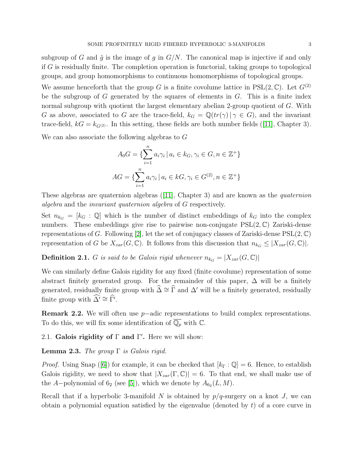subgroup of G and  $\tilde{g}$  is the image of g in  $G/N$ . The canonical map is injective if and only if G is residually finite. The completion operation is functorial, taking groups to topological groups, and group homomorphisms to continuous homomorphisms of topological groups.

We assume henceforth that the group G is a finite covolume lattice in  $PSL(2,\mathbb{C})$ . Let  $G^{(2)}$ be the subgroup of G generated by the squares of elements in  $G$ . This is a finite index normal subgroup with quotient the largest elementary abelian 2-group quotient of G. With G as above, associated to G are the trace-field,  $k_G = \mathbb{Q}(tr(\gamma) | \gamma \in G)$ , and the invariant trace-field, $kG = k_{G^{(2)}}$ . In this setting, these fields are both number fields ([\[11\]](#page-13-5), Chapter 3).

We can also associate the following algebras to G

$$
A_0 G = \{ \sum_{i=1}^n a_i \gamma_i \, | \, a_i \in k_G, \gamma_i \in G, n \in \mathbb{Z}^+ \}
$$

$$
AG = \{ \sum_{i=1}^n a_i \gamma_i \, | \, a_i \in kG, \gamma_i \in G^{(2)}, n \in \mathbb{Z}^+ \}
$$

Thesealgebras are quaternion algebras  $(11)$ , Chapter 3) and are known as the *quaternion* algebra and the invariant quaternion algebra of G respectively.

Set  $n_{k_G} = [k_G : \mathbb{Q}]$  which is the number of distinct embeddings of  $k_G$  into the complex numbers. These embeddings give rise to pairwise non-conjugate  $PSL(2,\mathbb{C})$  Zariski-dense representations of G. Following [\[2\]](#page-13-0), let the set of conjugacy classes of Zariski-dense  $PSL(2, \mathbb{C})$ representation of G be  $X_{zar}(G, \mathbb{C})$ . It follows from this discussion that  $n_{k_G} \leq |X_{zar}(G, \mathbb{C})|$ .

**Definition 2.1.** G is said to be Galois rigid whenever  $n_{k_G} = |X_{zar}(G, \mathbb{C})|$ 

We can similarly define Galois rigidity for any fixed (finite covolume) representation of some abstract finitely generated group. For the remainder of this paper,  $\Delta$  will be a finitely generated, residually finite group with  $\widehat{\Delta} \cong \widehat{\Gamma}$  and  $\Delta'$  will be a finitely generated, residually finite group with  $\widehat{\Delta'} \cong \widehat{\Gamma'}$ .

Remark 2.2. We will often use p−adic representations to build complex representations. To do this, we will fix some identification of  $\overline{\mathbb{Q}_p}$  with  $\mathbb{C}$ .

2.1. Galois rigidity of  $\Gamma$  and  $\Gamma'$ . Here we will show:

**Lemma 2.3.** The group  $\Gamma$  is Galois rigid.

*Proof.*Using Snap ([\[6\]](#page-13-6)) for example, it can be checked that  $[k_{\Gamma}:\mathbb{Q}]=6$ . Hence, to establish Galois rigidity, we need to show that  $|X_{zar}(\Gamma,\mathbb{C})|=6$ . To that end, we shall make use of the A–polynomial of  $6_2$  (see [\[5\]](#page-13-7)), which we denote by  $A_{6_2}(L, M)$ .

Recall that if a hyperbolic 3-manifold N is obtained by  $p/q$ -surgery on a knot J, we can obtain a polynomial equation satisfied by the eigenvalue (denoted by  $t$ ) of a core curve in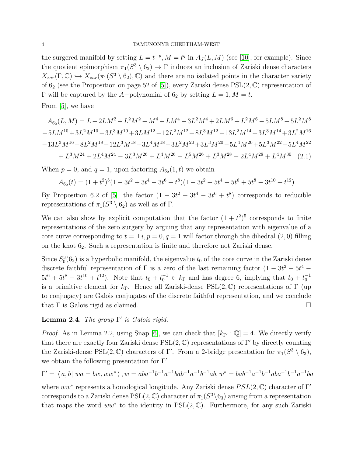the surgered manifold by setting  $L = t^{-p}$ ,  $M = t^q$  in  $A_J(L, M)$  (see [\[10\]](#page-13-8), for example). Since the quotient epimorphism  $\pi_1(S^3 \setminus 6_2) \to \Gamma$  induces an inclusion of Zariski dense characters  $X_{zar}(\Gamma, \mathbb{C}) \hookrightarrow X_{zar}(\pi_1(S^3 \setminus 6_2), \mathbb{C})$  and there are no isolated points in the character variety of  $6_2$  (see the Proposition on page 52 of [\[5\]](#page-13-7)), every Zariski dense  $PSL(2,\mathbb{C})$  representation of Γ will be captured by the A-polynomial of  $6<sub>2</sub>$  by setting  $L = 1, M = t$ .

From [\[5\]](#page-13-7), we have

$$
A_{62}(L,M) = L - 2LM^{2} + L^{2}M^{2} - M^{4} + LM^{4} - 3L^{2}M^{4} + 2LM^{6} + L^{2}M^{6} - 5LM^{8} + 5L^{2}M^{8}
$$
  
\n
$$
-5LM^{10} + 3L^{2}M^{10} - 3L^{3}M^{10} + 3LM^{12} - 12L^{2}M^{12} + 8L^{3}M^{12} - 13L^{2}M^{14} + 3L^{3}M^{14} + 3L^{2}M^{16}
$$
  
\n
$$
-13L^{3}M^{16} + 8L^{2}M^{18} - 12L^{3}M^{18} + 3L^{4}M^{18} - 3L^{2}M^{20} + 3L^{3}M^{20} - 5L^{4}M^{20} + 5L^{3}M^{22} - 5L^{4}M^{22}
$$
  
\n
$$
+ L^{3}M^{24} + 2L^{4}M^{24} - 3L^{3}M^{26} + L^{4}M^{26} - L^{5}M^{26} + L^{3}M^{28} - 2L^{4}M^{28} + L^{4}M^{30}
$$
 (2.1)

When  $p = 0$ , and  $q = 1$ , upon factoring  $A_{62}(1, t)$  we obtain

$$
A_{62}(t) = (1+t^2)^5(1-3t^2+3t^4-3t^6+t^8)(1-3t^2+5t^4-5t^6+5t^8-3t^{10}+t^{12})
$$

By Proposition 6.2 of [\[5\]](#page-13-7), the factor  $(1 - 3t^2 + 3t^4 - 3t^6 + t^8)$  corresponds to reducible representations of  $\pi_1(S^3 \setminus 6_2)$  as well as of  $\Gamma$ .

We can also show by explicit computation that the factor  $(1 + t^2)^5$  corresponds to finite representations of the zero surgery by arguing that any representation with eigenvalue of a core curve corresponding to  $t = \pm i$ ,  $p = 0$ ,  $q = 1$  will factor through the dihedral (2,0) filling on the knot  $6<sub>2</sub>$ . Such a representation is finite and therefore not Zariski dense.

Since  $S_0^3(6_2)$  is a hyperbolic manifold, the eigenvalue  $t_0$  of the core curve in the Zariski dense discrete faithful representation of  $\Gamma$  is a zero of the last remaining factor  $(1 - 3t^2 + 5t^4 5t^6 + 5t^8 - 3t^{10} + t^{12}$ . Note that  $t_0 + t_0^{-1} \in k_\Gamma$  and has degree 6, implying that  $t_0 + t_0^{-1}$ is a primitive element for  $k_{\Gamma}$ . Hence all Zariski-dense PSL(2, C) representations of Γ (up to conjugacy) are Galois conjugates of the discrete faithful representation, and we conclude that Γ is Galois rigid as claimed.  $□$ 

# **Lemma 2.4.** The group  $\Gamma'$  is Galois rigid.

*Proof.* As in Lemma 2.2, using Snap [\[6\]](#page-13-6), we can check that  $[k_{\Gamma'} : \mathbb{Q}] = 4$ . We directly verify that there are exactly four Zariski dense  $PSL(2, \mathbb{C})$  representations of Γ' by directly counting the Zariski-dense  $PSL(2, \mathbb{C})$  characters of Γ'. From a 2-bridge presentation for  $\pi_1(S^3 \setminus 6_3)$ , we obtain the following presentation for  $\Gamma'$ 

$$
\Gamma' = \langle a, b \mid wa = bw, ww^* \rangle, w = aba^{-1}b^{-1}a^{-1}bab^{-1}a^{-1}b^{-1}ab, w^* = bab^{-1}a^{-1}b^{-1}aba^{-1}b^{-1}a^{-1}ba
$$

where  $ww^*$  represents a homological longitude. Any Zariski dense  $PSL(2,\mathbb{C})$  character of  $\Gamma'$ corresponds to a Zariski dense  $PSL(2, \mathbb{C})$  character of  $\pi_1(S^3 \setminus 6_3)$  arising from a representation that maps the word  $ww^*$  to the identity in  $PSL(2,\mathbb{C})$ . Furthermore, for any such Zariski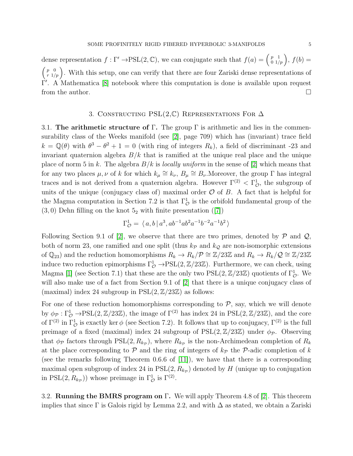dense representation  $f: \Gamma' \to \text{PSL}(2, \mathbb{C})$ , we can conjugate such that  $f(a) = \begin{pmatrix} p & 1 \\ 0 & 1/p \end{pmatrix}$ ,  $f(b) =$  $\binom{p}{r-1/p}$ . With this setup, one can verify that there are four Zariski dense representations of Γ'. A Mathematica [\[8\]](#page-13-9) notebook where this computation is done is available upon request from the author.

### 3. CONSTRUCTING PSL $(2,\mathbb{C})$  REPRESENTATIONS FOR  $\Delta$

<span id="page-4-0"></span>3.1. The arithmetic structure of  $\Gamma$ . The group  $\Gamma$  is arithmetic and lies in the commensurability class of the Weeks manifold (see [\[2\]](#page-13-0), page 709) which has (invariant) trace field  $k = \mathbb{Q}(\theta)$  with  $\theta^3 - \theta^2 + 1 = 0$  (with ring of integers  $R_k$ ), a field of discriminant -23 and invariant quaternion algebra  $B/k$  that is ramified at the unique real place and the unique place of norm 5 in k. The algebra  $B/k$  is locally uniform in the sense of [\[2\]](#page-13-0) which means that for any two places  $\mu, \nu$  of k for which  $k_{\mu} \cong k_{\nu}$ ,  $B_{\mu} \cong B_{\nu}$ . Moreover, the group  $\Gamma$  has integral traces and is not derived from a quaternion algebra. However  $\Gamma^{(2)} < \Gamma_{\mathcal{O}}^1$ , the subgroup of units of the unique (conjugacy class of) maximal order  $\mathcal O$  of B. A fact that is helpful for the Magma computation in Section 7.2 is that  $\Gamma^1_{\mathcal{O}}$  is the orbifold fundamental group of the  $(3,0)$  Dehn filling on the knot  $5<sub>2</sub>$  with finite presentation  $([7])$  $([7])$  $([7])$ 

$$
\Gamma^1_{\mathcal{O}} = \langle a, b | a^3, ab^{-1}ab^2a^{-1}b^{-2}a^{-1}b^2 \rangle
$$

Following Section 9.1 of [\[2\]](#page-13-0), we observe that there are two primes, denoted by  $P$  and  $Q$ , both of norm 23, one ramified and one split (thus  $k_p$  and  $k_q$  are non-isomorphic extensions of  $\mathbb{Q}_{23}$  and the reduction homomorphisms  $R_k \to R_k/\mathcal{P} \cong \mathbb{Z}/23\mathbb{Z}$  and  $R_k \to R_k/\mathcal{Q} \cong \mathbb{Z}/23\mathbb{Z}$ induce two reduction epimorphisms  $\Gamma^1_{\mathcal{O}} \to \mathrm{PSL}(2,\mathbb{Z}/23\mathbb{Z})$ . Furthermore, we can check, using Magma [\[1\]](#page-13-11) (see Section 7.1) that these are the only two  $PSL(2, \mathbb{Z}/23\mathbb{Z})$  quotients of  $\Gamma^1_{\mathcal{O}}$ . We will also make use of a fact from Section 9.1 of [\[2\]](#page-13-0) that there is a unique conjugacy class of (maximal) index 24 subgroup in  $PSL(2, \mathbb{Z}/23\mathbb{Z})$  as follows:

For one of these reduction homomorphisms corresponding to  $P$ , say, which we will denote by  $\phi_{\mathcal{P}} : \Gamma^1_{\mathcal{O}} \to \mathrm{PSL}(2, \mathbb{Z}/23\mathbb{Z})$ , the image of  $\Gamma^{(2)}$  has index 24 in  $\mathrm{PSL}(2, \mathbb{Z}/23\mathbb{Z})$ , and the core of  $\Gamma^{(2)}$  in  $\Gamma^1_{\mathcal{O}}$  is exactly ker  $\phi$  (see Section 7.2). It follows that up to conjugacy,  $\Gamma^{(2)}$  is the full preimage of a fixed (maximal) index 24 subgroup of  $PSL(2, \mathbb{Z}/23\mathbb{Z})$  under  $\phi_{\mathcal{P}}$ . Observing that  $\phi_{\mathcal{P}}$  factors through PSL $(2, R_{k_{\mathcal{P}}})$ , where  $R_{k_{\mathcal{P}}}$  is the non-Archimedean completion of  $R_k$ at the place corresponding to  $P$  and the ring of integers of  $k_P$  the P-adic completion of k (see the remarks following Theorem 0.6.6 of [\[11\]](#page-13-5)), we have that there is a corresponding maximal open subgroup of index 24 in  $PSL(2, R_{k_p})$  denoted by H (unique up to conjugation in PSL $(2, R_{k_p})$ ) whose preimage in  $\Gamma^1_{\mathcal{O}}$  is  $\Gamma^{(2)}$ .

3.2. Running the BMRS program on Γ. We will apply Theorem 4.8 of [\[2\]](#page-13-0). This theorem implies that since  $\Gamma$  is Galois rigid by Lemma 2.2, and with  $\Delta$  as stated, we obtain a Zariski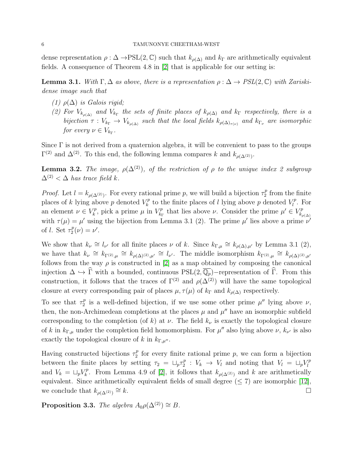dense representation  $\rho : \Delta \to \text{PSL}(2, \mathbb{C})$  such that  $k_{\rho(\Delta)}$  and  $k_{\Gamma}$  are arithmetically equivalent fields. A consequence of Theorem 4.8 in [\[2\]](#page-13-0) that is applicable for our setting is:

**Lemma 3.1.** With  $\Gamma, \Delta$  as above, there is a representation  $\rho : \Delta \rightarrow PSL(2, \mathbb{C})$  with Zariskidense image such that

- (1)  $\rho(\Delta)$  is Galois rigid;
- (2) For  $V_{k_{\rho(\Delta)}}$  and  $V_{k_{\Gamma}}$  the sets of finite places of  $k_{\rho(\Delta)}$  and  $k_{\Gamma}$  respectively, there is a bijection  $\tau: V_{k_{\Gamma}} \to V_{k_{\rho(\Delta)}}$  such that the local fields  $k_{\rho(\Delta)_{\tau(\nu)}}$  and  $k_{\Gamma_{\nu}}$  are isomorphic for every  $\nu \in V_{k_{\Gamma}}$ .

Since  $\Gamma$  is not derived from a quaternion algebra, it will be convenient to pass to the groups  $\Gamma^{(2)}$  and  $\Delta^{(2)}$ . To this end, the following lemma compares k and  $k_{\rho(\Delta^{(2)})}$ .

**Lemma 3.2.** The image,  $\rho(\Delta^{(2)})$ , of the restriction of  $\rho$  to the unique index 2 subgroup  $\Delta^{(2)} < \Delta$  has trace field k.

*Proof.* Let  $l = k_{\rho(\Delta^{(2)})}$ . For every rational prime p, we will build a bijection  $\tau_2^p$  $\frac{p}{2}$  from the finite places of k lying above p denoted  $V_k^p$  $\mathbf{z}_k^p$  to the finite places of l lying above p denoted  $V_l^p$  $l^p$ . For an element  $\nu \in V_k^p$  $V_k^p$ , pick a prime  $\mu$  in  $V_{k_1}^p$  $\mathcal{L}_{k_{\Gamma}}^{p}$  that lies above  $\nu$ . Consider the prime  $\mu' \in V_{k_{\rho}}^{p}$  $k_{\rho(\Delta)}$ with  $\tau(\mu) = \mu'$  using the bijection from Lemma 3.1 (2). The prime  $\mu'$  lies above a prime  $\nu'$ of *l*. Set  $\tau_2^p$  $2^p(\nu) = \nu'.$ 

We show that  $k_{\nu} \cong l_{\nu'}$  for all finite places  $\nu$  of k. Since  $k_{\Gamma,\mu} \cong k_{\rho(\Delta),\mu'}$  by Lemma 3.1 (2), we have that  $k_{\nu} \cong k_{\Gamma^{(2)},\mu} \cong k_{\rho(\Delta)^{(2)},\mu'} \cong l_{\nu'}$ . The middle isomorphism  $k_{\Gamma^{(2)},\mu} \cong k_{\rho(\Delta)^{(2)},\mu'}$ follows from the way  $\rho$  is constructed in [\[2\]](#page-13-0) as a map obtained by composing the canonical injection  $\Delta \hookrightarrow \widehat{\Gamma}$  with a bounded, continuous PSL $(2, \overline{\mathbb{Q}_p})$ −representation of  $\widehat{\Gamma}$ . From this construction, it follows that the traces of  $\Gamma^{(2)}$  and  $\rho(\Delta^{(2)})$  will have the same topological closure at every corresponding pair of places  $\mu, \tau(\mu)$  of  $k_{\Gamma}$  and  $k_{\rho(\Delta)}$  respectively.

To see that  $\tau_2^p$  $\mu$ <sup>*p*</sup> is a well-defined bijection, if we use some other prime  $\mu$ <sup>*n*</sup> lying above  $\nu$ , then, the non-Archimedean completions at the places  $\mu$  and  $\mu''$  have an isomorphic subfield corresponding to the completion (of k) at  $\nu$ . The field  $k_{\nu}$  is exactly the topological closure of k in  $k_{\Gamma,\mu}$  under the completion field homomorphism. For  $\mu''$  also lying above  $\nu$ ,  $k_{\nu'}$  is also exactly the topological closure of k in  $k_{\Gamma,\mu''}$ .

Having constructed bijections  $\tau_2^p$  $P_2^p$  for every finite rational prime p, we can form a bijection between the finite places by setting  $\tau_2 = \Box_p \tau_2^p$  $\frac{p}{2}$  :  $V_k \rightarrow V_l$  and noting that  $V_l = \sqcup_p V_l^p$ l and  $V_k = \sqcup_p V_k^p$ <sup>p</sup><sup>p</sup>. From Lemma 4.9 of [\[2\]](#page-13-0), it follows that  $k_{\rho(\Delta(2))}$  and k are arithmetically equivalent. Since arithmetically equivalent fields of small degree  $(\leq 7)$  are isomorphic [\[12\]](#page-13-12), we conclude that  $k_{\rho(\Delta(2))} \cong k$ .  $\cong k$ .

**Proposition 3.3.** The algebra  $A_0 \rho(\Delta^{(2)}) \cong B$ .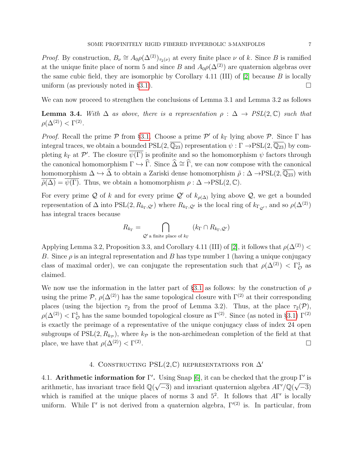*Proof.* By construction,  $B_{\nu} \cong A_0 \rho(\Delta^{(2)})_{\tau_2(\nu)}$  at every finite place  $\nu$  of k. Since B is ramified at the unique finite place of norm 5 and since B and  $A_0\rho(\Delta^{(2)})$  are quaternion algebras over the same cubic field, they are isomorphic by Corollary 4.11 (III) of  $[2]$  because B is locally uniform (as previously noted in §[3.1\)](#page-4-0).  $\Box$ 

We can now proceed to strengthen the conclusions of Lemma 3.1 and Lemma 3.2 as follows

**Lemma 3.4.** With  $\Delta$  as above, there is a representation  $\rho : \Delta \rightarrow PSL(2,\mathbb{C})$  such that  $\rho(\Delta^{(2)}) < \Gamma^{(2)}$ .

*Proof.* Recall the prime  $P$  from §[3.1.](#page-4-0) Choose a prime  $P'$  of  $k_{\Gamma}$  lying above  $P$ . Since  $\Gamma$  has integral traces, we obtain a bounded  $PSL(2, \overline{\mathbb{Q}_{23}})$  representation  $\psi : \Gamma \to PSL(2, \overline{\mathbb{Q}_{23}})$  by completing  $k_{\Gamma}$  at  $\mathcal{P}'$ . The closure  $\overline{\psi(\Gamma)}$  is profinite and so the homomorphism  $\psi$  factors through the canonical homomorphism  $\Gamma \hookrightarrow \widehat{\Gamma}$ . Since  $\widehat{\Delta} \cong \widehat{\Gamma}$ , we can now compose with the canonical homomorphism  $\Delta \hookrightarrow \widehat{\Delta}$  to obtain a Zariski dense homomorphism  $\tilde{\rho} : \Delta \to \mathrm{PSL}(2, \overline{\mathbb{Q}_{23}})$  with  $\overline{\rho}(\Delta) = \overline{\psi(\Gamma)}$ . Thus, we obtain a homomorphism  $\rho : \Delta \to \mathrm{PSL}(2, \mathbb{C})$ .

For every prime Q of k and for every prime Q' of  $k_{\rho(\Delta)}$  lying above Q, we get a bounded representation of  $\Delta$  into PSL $(2, R_{k_{\Gamma},Q})$  where  $R_{k_{\Gamma},Q}$  is the local ring of  $k_{\Gamma_{Q'}}$ , and so  $\rho(\Delta^{(2)})$ has integral traces because

$$
R_{k_{\Gamma}} = \bigcap_{\mathcal{Q}' \text{ a finite place of } k_{\Gamma}} (k_{\Gamma} \cap R_{k_{\Gamma}, \mathcal{Q}'})
$$

Applying Lemma 3.2, Proposition 3.3, and Corollary 4.11 (III) of [\[2\]](#page-13-0), it follows that  $\rho(\Delta^{(2)})$  < B. Since  $\rho$  is an integral representation and B has type number 1 (having a unique conjugacy class of maximal order), we can conjugate the representation such that  $\rho(\Delta^{(2)}) < \Gamma^1_{\mathcal{O}}$  as claimed.

We now use the information in the latter part of §[3.1](#page-4-0) as follows: by the construction of  $\rho$ using the prime  $\mathcal{P}, \rho(\Delta^{(2)})$  has the same topological closure with  $\Gamma^{(2)}$  at their corresponding places (using the bijection  $\tau_2$  from the proof of Lemma 3.2). Thus, at the place  $\tau_2(\mathcal{P})$ ,  $\rho(\Delta^{(2)}) < \Gamma_{\mathcal{O}}^1$  has the same bounded topological closure as  $\Gamma^{(2)}$ . Since (as noted in §[3.1\)](#page-4-0)  $\Gamma^{(2)}$ is exactly the preimage of a representative of the unique conjugacy class of index 24 open subgroups of  $PSL(2, R_{kp})$ , where  $k_{\mathcal{P}}$  is the non-archimedean completion of the field at that place, we have that  $\rho(\Delta^{(2)}) < \Gamma^{(2)}$ .

### 4. CONSTRUCTING PSL $(2,\mathbb{C})$  representations for  $\Delta'$

4.1. Arithmetic information for Γ'. Using Snap [\[6\]](#page-13-6), it can be checked that the group Γ' is arithmetic, has invariant trace field  $\mathbb{Q}(\sqrt{-3})$  and invariant quaternion algebra  $A\Gamma'/\mathbb{Q}(\sqrt{-3})$ which is ramified at the unique places of norms 3 and  $5^2$ . It follows that  $A\Gamma'$  is locally uniform. While  $\Gamma'$  is not derived from a quaternion algebra,  $\Gamma^{(2)}$  is. In particular, from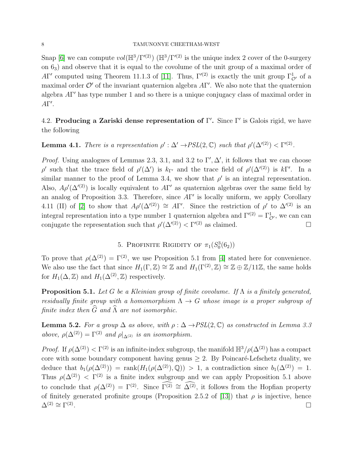Snap [\[6\]](#page-13-6) we can compute  $vol(\mathbb{H}^3/\Gamma'^{(2)})$  ( $\mathbb{H}^3/\Gamma'^{(2)}$  is the unique index 2 cover of the 0-surgery on 63) and observe that it is equal to the covolume of the unit group of a maximal order of AΓ' computed using Theorem 11.1.3 of [\[11\]](#page-13-5). Thus,  $\Gamma^{(2)}$  is exactly the unit group  $\Gamma^1_{\mathcal{O}'}$  of a maximal order  $\mathcal{O}'$  of the invariant quaternion algebra  $A\Gamma'$ . We also note that the quaternion algebra AΓ' has type number 1 and so there is a unique conjugacy class of maximal order in  $A\Gamma'.$ 

4.2. Producing a Zariski dense representation of  $\Gamma'$ . Since  $\Gamma'$  is Galois rigid, we have the following

# **Lemma 4.1.** There is a representation  $\rho' : \Delta' \to PSL(2, \mathbb{C})$  such that  $\rho'(\Delta'^{(2)}) < \Gamma'^{(2)}$ .

*Proof.* Using analogues of Lemmas 2.3, 3.1, and 3.2 to  $\Gamma', \Delta'$ , it follows that we can choose ρ' such that the trace field of  $\rho'(\Delta')$  is  $k_{\Gamma'}$  and the trace field of  $\rho'(\Delta'^{(2)})$  is  $k\Gamma'$ . In a similar manner to the proof of Lemma 3.4, we show that  $\rho'$  is an integral representation. Also,  $A\rho'(\Delta^{(2)})$  is locally equivalent to  $A\Gamma'$  as quaternion algebras over the same field by an analog of Proposition 3.3. Therefore, since  $A\Gamma'$  is locally uniform, we apply Corollary 4.11 (II) of [\[2\]](#page-13-0) to show that  $A\rho'(\Delta'^{(2)}) \cong A\Gamma'$ . Since the restriction of  $\rho'$  to  $\Delta'^{(2)}$  is an integral representation into a type number 1 quaternion algebra and  $\Gamma^{(2)} = \Gamma_{\mathcal{O}}^1$ , we can can conjugate the representation such that  $\rho'(\Delta'^{(2)}) < \Gamma'^{(2)}$  as claimed.

# 5. PROFINITE RIGIDITY OF  $\pi_1(S_0^3(6_2))$

<span id="page-7-0"></span>To prove that  $\rho(\Delta^{(2)}) = \Gamma^{(2)}$ , we use Proposition 5.1 from [\[4\]](#page-13-2) stated here for convenience. We also use the fact that since  $H_1(\Gamma, \mathbb{Z}) \cong \mathbb{Z}$  and  $H_1(\Gamma^{(2)}, \mathbb{Z}) \cong \mathbb{Z} \oplus \mathbb{Z}/11\mathbb{Z}$ , the same holds for  $H_1(\Delta, \mathbb{Z})$  and  $H_1(\Delta^{(2)}, \mathbb{Z})$  respectively.

**Proposition 5.1.** Let G be a Kleinian group of finite covolume. If  $\Lambda$  is a finitely generated, residually finite group with a homomorphism  $\Lambda \to G$  whose image is a proper subgroup of finite index then  $\widehat{G}$  and  $\widehat{\Lambda}$  are not isomorphic.

**Lemma 5.2.** For a group  $\Delta$  as above, with  $\rho : \Delta \rightarrow PSL(2,\mathbb{C})$  as constructed in Lemma 3.3 above,  $\rho(\Delta^{(2)}) = \Gamma^{(2)}$  and  $\rho|_{\Delta^{(2)}}$  is an isomorphism.

*Proof.* If  $\rho(\Delta^{(2)}) < \Gamma^{(2)}$  is an infinite-index subgroup, the manifold  $\mathbb{H}^3/\rho(\Delta^{(2)})$  has a compact core with some boundary component having genus  $\geq 2$ . By Poincaré-Lefschetz duality, we deduce that  $b_1(\rho(\Delta^{(2)})) = \text{rank}(H_1(\rho(\Delta^{(2)}), \mathbb{Q})) > 1$ , a contradiction since  $b_1(\Delta^{(2)}) = 1$ . Thus  $\rho(\Delta^{(2)}) < \Gamma^{(2)}$  is a finite index subgroup and we can apply Proposition 5.1 above to conclude that  $\rho(\Delta^{(2)}) = \Gamma^{(2)}$ . Since  $\Gamma^{(2)} \cong \widehat{\Delta^{(2)}}$ , it follows from the Hopfian property of finitely generated profinite groups (Proposition 2.5.2 of [\[13\]](#page-13-13)) that  $\rho$  is injective, hence  $\Delta^{(2)} \cong \Gamma^{(2)}$ . The contract of the contract of the contract of the contract of the contract of  $\Box$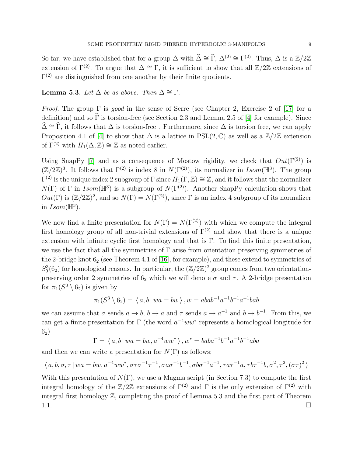So far, we have established that for a group  $\Delta$  with  $\hat{\Delta} \cong \hat{\Gamma}$ ,  $\Delta^{(2)} \cong \Gamma^{(2)}$ . Thus,  $\Delta$  is a  $\mathbb{Z}/2\mathbb{Z}$ extension of  $\Gamma^{(2)}$ . To argue that  $\Delta \cong \Gamma$ , it is sufficient to show that all  $\mathbb{Z}/2\mathbb{Z}$  extensions of  $\Gamma^{(2)}$  are distinguished from one another by their finite quotients.

### **Lemma 5.3.** Let  $\Delta$  be as above. Then  $\Delta \cong \Gamma$ .

*Proof.* The group  $\Gamma$  is good in the sense of Serre (see Chapter 2, Exercise 2 of [\[17\]](#page-13-14) for a definition) and so  $\widehat{\Gamma}$  is torsion-free (see Section 2.3 and Lemma 2.5 of [\[4\]](#page-13-2) for example). Since  $\widehat{\Delta} \cong \widehat{\Gamma}$ , it follows that  $\Delta$  is torsion-free. Furthermore, since  $\Delta$  is torsion free, we can apply Proposition 4.1 of [\[4\]](#page-13-2) to show that  $\Delta$  is a lattice in PSL(2,  $\mathbb{C}$ ) as well as a  $\mathbb{Z}/2\mathbb{Z}$  extension of  $\Gamma^{(2)}$  with  $H_1(\Delta, \mathbb{Z}) \cong \mathbb{Z}$  as noted earlier.

Using SnapPy [\[7\]](#page-13-10) and as a consequence of Mostow rigidity, we check that  $Out(\Gamma^{(2)})$  is  $(\mathbb{Z}/2\mathbb{Z})^3$ . It follows that  $\Gamma^{(2)}$  is index 8 in  $N(\Gamma^{(2)})$ , its normalizer in  $Isom(\mathbb{H}^3)$ . The group  $\Gamma^{(2)}$  is the unique index 2 subgroup of  $\Gamma$  since  $H_1(\Gamma, \mathbb{Z}) \cong \mathbb{Z}$ , and it follows that the normalizer  $N(\Gamma)$  of  $\Gamma$  in Isom( $\mathbb{H}^3$ ) is a subgroup of  $N(\Gamma^{(2)})$ . Another SnapPy calculation shows that  $Out(\Gamma)$  is  $(\mathbb{Z}/2\mathbb{Z})^2$ , and so  $N(\Gamma) = N(\Gamma^{(2)})$ , since  $\Gamma$  is an index 4 subgroup of its normalizer in  $Isom(\mathbb{H}^3)$ .

We now find a finite presentation for  $N(\Gamma) = N(\Gamma^{(2)})$  with which we compute the integral first homology group of all non-trivial extensions of  $\Gamma^{(2)}$  and show that there is a unique extension with infinite cyclic first homology and that is  $\Gamma$ . To find this finite presentation, we use the fact that all the symmetries of  $\Gamma$  arise from orientation preserving symmetries of the 2-bridge knot  $6_2$  (see Theorem 4.1 of [\[16\]](#page-13-15), for example), and these extend to symmetries of  $S_0^3(6_2)$  for homological reasons. In particular, the  $(\mathbb{Z}/2\mathbb{Z})^2$  group comes from two orientationpreserving order 2 symmetries of  $6<sub>2</sub>$  which we will denote  $\sigma$  and  $\tau$ . A 2-bridge presentation for  $\pi_1(S^3 \setminus 6_2)$  is given by

$$
\pi_1(S^3 \setminus 6_2) = \langle a, b | wa = bw \rangle, w = abab^{-1}a^{-1}b^{-1}a^{-1}bab
$$

we can assume that  $\sigma$  sends  $a \to b$ ,  $b \to a$  and  $\tau$  sends  $a \to a^{-1}$  and  $b \to b^{-1}$ . From this, we can get a finite presentation for  $\Gamma$  (the word  $a^{-4}ww^*$  represents a homological longitude for  $6_{2})$ 

$$
\Gamma = \langle a, b \, | \, wa = bw, a^{-4}ww^* \rangle, w^* = baba^{-1}b^{-1}a^{-1}b^{-1}aba
$$

and then we can write a presentation for  $N(\Gamma)$  as follows;

$$
\langle a,b,\sigma,\tau \mid wa = bw,a^{-4}ww^*,\sigma\tau\sigma^{-1}\tau^{-1},\sigma a\sigma^{-1}b^{-1},\sigma b\sigma^{-1}a^{-1},\tau a\tau^{-1}a,\tau b\tau^{-1}b,\sigma^2,\tau^2,(\sigma\tau)^2\rangle
$$

With this presentation of  $N(\Gamma)$ , we use a Magma script (in Section 7.3) to compute the first integral homology of the  $\mathbb{Z}/2\mathbb{Z}$  extensions of  $\Gamma^{(2)}$  and  $\Gamma$  is the only extension of  $\Gamma^{(2)}$  with integral first homology Z, completing the proof of Lemma 5.3 and the first part of Theorem  $1.1.$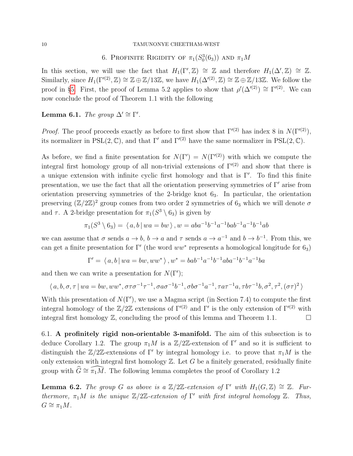# 6. PROFINITE RIGIDITY OF  $\pi_1(S_0^3(6_3))$  and  $\pi_1M$

<span id="page-9-0"></span>In this section, we will use the fact that  $H_1(\Gamma', \mathbb{Z}) \cong \mathbb{Z}$  and therefore  $H_1(\Delta', \mathbb{Z}) \cong \mathbb{Z}$ . Similarly, since  $H_1(\Gamma^{(2)}, \mathbb{Z}) \cong \mathbb{Z} \oplus \mathbb{Z}/13\mathbb{Z}$ , we have  $H_1(\Delta^{(2)}, \mathbb{Z}) \cong \mathbb{Z} \oplus \mathbb{Z}/13\mathbb{Z}$ . We follow the proof in §[5.](#page-7-0) First, the proof of Lemma 5.2 applies to show that  $\rho'(\Delta'^{(2)}) \cong \Gamma'^{(2)}$ . We can now conclude the proof of Theorem 1.1 with the following

Lemma 6.1. The group  $\Delta' \cong \Gamma'.$ 

*Proof.* The proof proceeds exactly as before to first show that  $\Gamma^{(2)}$  has index 8 in  $N(\Gamma^{(2)})$ , its normalizer in PSL(2, C), and that  $\Gamma'$  and  $\Gamma^{(2)}$  have the same normalizer in PSL(2, C).

As before, we find a finite presentation for  $N(\Gamma') = N(\Gamma^{(2)})$  with which we compute the integral first homology group of all non-trivial extensions of  $\Gamma^{(2)}$  and show that there is a unique extension with infinite cyclic first homology and that is  $\Gamma'$ . To find this finite presentation, we use the fact that all the orientation preserving symmetries of  $\Gamma'$  arise from orientation preserving symmetries of the 2-bridge knot  $6<sub>3</sub>$ . In particular, the orientation preserving  $(\mathbb{Z}/2\mathbb{Z})^2$  group comes from two order 2 symmetries of 6<sub>3</sub> which we will denote  $\sigma$ and  $\tau$ . A 2-bridge presentation for  $\pi_1(S^3 \setminus 6_3)$  is given by

$$
\pi_1(S^3 \setminus 6_3) = \langle a, b | wa = bw \rangle, w = aba^{-1}b^{-1}a^{-1}bab^{-1}a^{-1}b^{-1}ab
$$

we can assume that  $\sigma$  sends  $a \to b$ ,  $b \to a$  and  $\tau$  sends  $a \to a^{-1}$  and  $b \to b^{-1}$ . From this, we can get a finite presentation for  $\Gamma'$  (the word  $ww^*$  represents a homological longitude for  $6_3$ )

$$
\Gamma' = \langle a, b \, | \, wa = bw, ww^* \rangle \, , w^* = bab^{-1}a^{-1}b^{-1}aba^{-1}b^{-1}a^{-1}ba
$$

and then we can write a presentation for  $N(\Gamma')$ ;

$$
\langle a, b, \sigma, \tau \mid wa = bw, ww^*, \sigma \tau \sigma^{-1} \tau^{-1}, \sigma a \sigma^{-1} b^{-1}, \sigma b \sigma^{-1} a^{-1}, \tau a \tau^{-1} a, \tau b \tau^{-1} b, \sigma^2, \tau^2, (\sigma \tau)^2 \rangle
$$

With this presentation of  $N(\Gamma')$ , we use a Magma script (in Section 7.4) to compute the first integral homology of the  $\mathbb{Z}/2\mathbb{Z}$  extensions of  $\Gamma^{(2)}$  and  $\Gamma'$  is the only extension of  $\Gamma^{(2)}$  with integral first homology  $\mathbb{Z}$ , concluding the proof of this lemma and Theorem 1.1.

6.1. A profinitely rigid non-orientable 3-manifold. The aim of this subsection is to deduce Corollary 1.2. The group  $\pi_1 M$  is a  $\mathbb{Z}/2\mathbb{Z}$ -extension of Γ' and so it is sufficient to distinguish the  $\mathbb{Z}/2\mathbb{Z}$ -extensions of Γ' by integral homology i.e. to prove that  $\pi_1M$  is the only extension with integral first homology  $\mathbb Z$ . Let G be a finitely generated, residually finite group with  $\widehat{G} \cong \widehat{\pi_1M}$ . The following lemma completes the proof of Corollary 1.2

**Lemma 6.2.** The group G as above is a  $\mathbb{Z}/2\mathbb{Z}$ -extension of  $\Gamma'$  with  $H_1(G,\mathbb{Z}) \cong \mathbb{Z}$ . Furthermore,  $\pi_1 M$  is the unique  $\mathbb{Z}/2\mathbb{Z}$ -extension of  $\Gamma'$  with first integral homology  $\mathbb{Z}$ . Thus,  $G \cong \pi_1 M$ .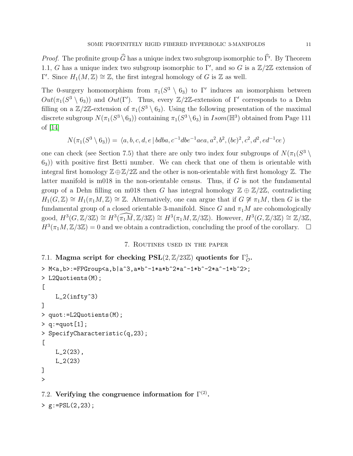*Proof.* The profinite group G has a unique index two subgroup isomorphic to Γ'. By Theorem 1.1, G has a unique index two subgroup isomorphic to  $\Gamma'$ , and so G is a  $\mathbb{Z}/2\mathbb{Z}$  extension of Γ'. Since  $H_1(M, \mathbb{Z}) \cong \mathbb{Z}$ , the first integral homology of G is  $\mathbb{Z}$  as well.

The 0-surgery homomorphism from  $\pi_1(S^3 \setminus 6_3)$  to Γ' induces an isomorphism between  $Out(\pi_1(S^3 \setminus 6_3))$  and  $Out(\Gamma')$ . Thus, every  $\mathbb{Z}/2\mathbb{Z}$ -extension of  $\Gamma'$  corresponds to a Dehn filling on a  $\mathbb{Z}/2\mathbb{Z}$ -extension of  $\pi_1(S^3 \setminus 6_3)$ . Using the following presentation of the maximal discrete subgroup  $N(\pi_1(S^3 \setminus 6_3))$  containing  $\pi_1(S^3 \setminus 6_3)$  in  $Isom(\mathbb{H}^3)$  obtained from Page 111 of [\[14\]](#page-13-16)

$$
N(\pi_1(S^3 \setminus 6_3)) = \langle a, b, c, d, e | bdba, c^{-1}abe^{-1}aea, a^2, b^2, (bc)^2, c^2, d^2, ed^{-1}ce \rangle
$$

one can check (see Section 7.5) that there are only two index four subgroups of  $N(\pi_1(S^3 \setminus$  $(6, 6)$ ) with positive first Betti number. We can check that one of them is orientable with integral first homology  $\mathbb{Z} \oplus \mathbb{Z}/2\mathbb{Z}$  and the other is non-orientable with first homology  $\mathbb{Z}$ . The latter manifold is m018 in the non-orientable census. Thus, if  $G$  is not the fundamental group of a Dehn filling on m018 then G has integral homology  $\mathbb{Z} \oplus \mathbb{Z}/2\mathbb{Z}$ , contradicting  $H_1(G,\mathbb{Z}) \cong H_1(\pi_1M,\mathbb{Z}) \cong \mathbb{Z}$ . Alternatively, one can argue that if  $G \not\cong \pi_1M$ , then G is the fundamental group of a closed orientable 3-manifold. Since G and  $\pi_1 M$  are cohomologically good,  $H^3(G,\mathbb{Z}/3\mathbb{Z})\cong H^3(\widehat{\pi_1M},\mathbb{Z}/3\mathbb{Z})\cong H^3(\pi_1M,\mathbb{Z}/3\mathbb{Z})$ . However,  $H^3(G,\mathbb{Z}/3\mathbb{Z})\cong \mathbb{Z}/3\mathbb{Z}$ ,  $H^3(\pi_1 M, \mathbb{Z}/3\mathbb{Z}) = 0$  and we obtain a contradiction, concluding the proof of the corollary.  $\Box$ 

### 7. Routines used in the paper

```
7.1. Magma script for checking PSL(2, \mathbb{Z}/23\mathbb{Z}) quotients for \Gamma^1_{\mathcal{O}}.
> M<a,b>:=FPGroup<a,b|a^3,a*b^-1*a*b^2*a^-1*b^-2*a^-1*b^2>;
> L2Quotients(M);
\GammaL_2(infty^3)
\mathbb{I}> quot:=L2Quotients(M);
> q:=quot[1];
> SpecifyCharacteristic(q,23);
\GammaL_2(23),
     L_2(23)
]
>
7.2. Verifying the congruence information for \Gamma^{(2)}.
```

```
> g:=PSL(2,23);
```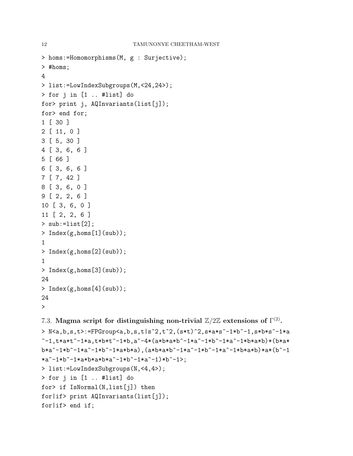```
12 TAMUNONYE CHEETHAM-WEST
> homs:=Homomorphisms(M, g : Surjective);
> #homs;
4
> list:=LowIndexSubgroups(M,<24,24>);
> for j in [1 .. #list] do
for> print j, AQInvariants(list[j]);
for> end for;
1 [ 30 ]
2 [ 11, 0 ]
3 [ 5, 30 ]
4 [ 3, 6, 6 ]
5 [ 66 ]
6 [ 3, 6, 6 ]
7 [ 7, 42 ]
8 [ 3, 6, 0 ]
9 [ 2, 2, 6 ]
10 [ 3, 6, 0 ]
11 [ 2, 2, 6 ]
> sub:=list[2];
> Index(g,homs[1](sub));
1
> Index(g,homs[2](sub));
1
> Index(g, homs[3](sub));
24
> Index(g,homs[4](sub));
24
>
```
7.3. Magma script for distinguishing non-trivial  $\mathbb{Z}/2\mathbb{Z}$  extensions of  $\Gamma^{(2)}$ .

```
> N<a,b,s,t>:=FPGroup<a,b,s,t|s^2,t^2,(s*t)^2,s*a*s^-1*b^-1,s*b*s^-1*a
-1,t*a*t^-1*a,t*b*t^-1*b,a^-4*(a*b*a*b^-1*a^-1*b^-1*a^-1*b*a*b)*(b*a*
b*a^-1*b^-1*a^-1*b^-1*a*b*a),(a*b*a*b^-1*a^-1*b^-1*a^-1*b*a*b)*a*(b^-1
*a^-1*b^-1*a*b*a*b*a^-1*b^-1*a^-1*b^-.1*b^-.1> list:=LowIndexSubgroups(N,<4,4>);
> for j in [1 .. #list] do
for> if IsNormal(N,list[j]) then
for|if> print AQInvariants(list[j]);
for|if> end if;
```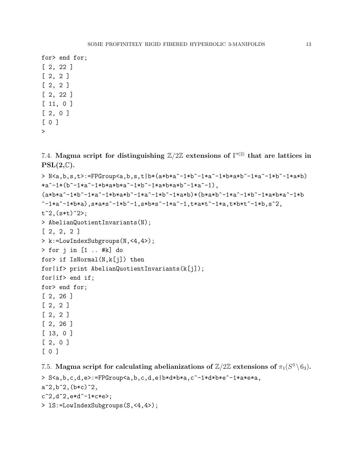for> end for; [ 2, 22 ] [ 2, 2 ] [ 2, 2 ] [ 2, 22 ] [ 11, 0 ] [ 2, 0 ] [ 0 ] >

7.4. Magma script for distinguishing  $\mathbb{Z}/2\mathbb{Z}$  extensions of  $\Gamma^{(2)}$  that are lattices in  $PSL(2,\mathbb{C}).$ 

```
> N \leq a, b, s, t:=FPGroup\leq a, b, s, t|b*(a * b * a^{\hat{-1}} * b^{\hat{-1}} * a^{\hat{-1}} * b * a * b^{\hat{-1}} * a^{\hat{-1}} * b^{\hat{-1}} * a)*a^-1*(b^-1*a^-1*b*a*b*a^-1*b^*-1*a*b*a*b^--1*a^-1),(axb*a^-1*b^+1*a^-1*b^+a^+1*a^-1*b^+a^+1*b^+1*a*b)*(b*a*b^+1*a^+1*a^+a^+a^+1*b^+b^+k^+b^+k^+b^+k^+b^+k^+b^+k^+b^+k^+b^+k^+b^+k^+b^+k^+b^+k^+b^+k^+b^+k^+b^+k^+b^+k^+b^+k^+b^+k^+b^+k^+b^+k^+b^+k^+b^+k^+b^+k^+b^+k^+b^+k^+b^+k^+b^+k^+b^+k^+b^-1*a^-1*b*a, s*a*s^-1*b^-1,s*b*s^-1*a^-1,t*a*t^-1*a,t*b*t^-1*b,s^2,
t^2, (s*t)<sup>2</sup>>;
> AbelianQuotientInvariants(N);
[ 2, 2, 2 ]
> k:=LowIndexSubgroups(N,<4,4>);
> for j in [1 .. #k] do
for> if IsNormal(N,k[j]) then
for|if> print AbelianQuotientInvariants(k[j]);
for|if> end if;
for> end for;
[ 2, 26 ]
[ 2, 2 ]
[ 2, 2 ]
[ 2, 26 ]
[ 13, 0 ]
[ 2, 0 ]
[ 0 ]
```
7.5. Magma script for calculating abelianizations of  $\mathbb{Z}/2\mathbb{Z}$  extensions of  $\pi_1(S^3 \setminus 6_3)$ .

```
> S<a,b,c,d,e>:=FPGroup<a,b,c,d,e|b*d*b*a,c^-1*d*b*e^-1*a*e*a,
a^2,b^2,(b*c)^2,c^2, d^2, e*d^-1*c*e;
> lS:=LowIndexSubgroups(S,<4,4>);
```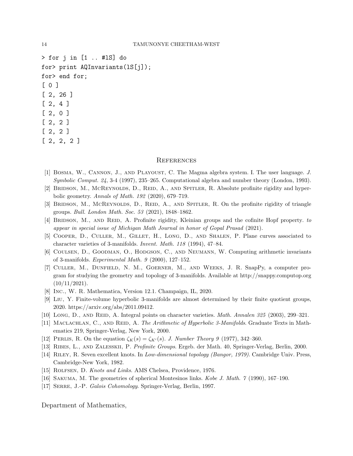> for j in [1 .. #lS] do for> print AQInvariants(lS[j]); for> end for; [ 0 ] [ 2, 26 ] [ 2, 4 ] [ 2, 0 ] [ 2, 2 ] [ 2, 2 ] [ 2, 2, 2 ]

#### **REFERENCES**

- <span id="page-13-11"></span>[1] BOSMA, W., CANNON, J., AND PLAYOUST, C. The Magma algebra system. I. The user language. J. Symbolic Comput. 24, 3-4 (1997), 235–265. Computational algebra and number theory (London, 1993).
- <span id="page-13-0"></span>[2] BRIDSON, M., MCREYNOLDS, D., REID, A., AND SPITLER, R. Absolute profinite rigidity and hyperbolic geometry. Annals of Math. 192 (2020), 679–719.
- <span id="page-13-1"></span>[3] BRIDSON, M., MCREYNOLDS, D., REID, A., AND SPITLER, R. On the profinite rigidity of triangle groups. Bull. London Math. Soc. 53 (2021), 1848–1862.
- <span id="page-13-2"></span>[4] BRIDSON, M., AND REID, A. Profinite rigidity, Kleinian groups and the cofinite Hopf property. to appear in special issue of Michigan Math Journal in honor of Gopal Prasad (2021).
- <span id="page-13-7"></span>[5] Cooper, D., Culler, M., Gillet, H., Long, D., and Shalen, P. Plane curves associated to character varieties of 3-manifolds. Invent. Math. 118 (1994), 47–84.
- <span id="page-13-6"></span>[6] Coulsen, D., Goodman, O., Hodgson, C., and Neumann, W. Computing arithmetic invariants of 3-manifolds. Experimental Math. 9 (2000), 127–152.
- <span id="page-13-10"></span>[7] Culler, M., Dunfield, N. M., Goerner, M., and Weeks, J. R. SnapPy, a computer program for studying the geometry and topology of 3-manifolds. Available at http://snappy.computop.org  $(10/11/2021).$
- <span id="page-13-9"></span>[8] Inc., W. R. Mathematica, Version 12.1. Champaign, IL, 2020.
- <span id="page-13-3"></span>[9] Liu, Y. Finite-volume hyperbolic 3-manifolds are almost determined by their finite quotient groups, 2020. https://arxiv.org/abs/2011.09412.
- <span id="page-13-8"></span>[10] Long, D., AND REID, A. Integral points on character varieties. *Math. Annalen 325* (2003), 299–321.
- <span id="page-13-5"></span>[11] MACLACHLAN, C., AND REID, A. The Arithmetic of Hyperbolic 3-Manifolds. Graduate Texts in Mathematics 219, Springer-Verlag, New York, 2000.
- <span id="page-13-12"></span>[12] PERLIS, R. On the equation  $\zeta_K(s) = \zeta_{K'}(s)$ . J. Number Theory 9 (1977), 342–360.
- <span id="page-13-13"></span>[13] Ribes, L., and Zalesskii, P. Profinite Groups. Ergeb. der Math. 40, Springer-Verlag, Berlin, 2000.
- <span id="page-13-16"></span>[14] Riley, R. Seven excellent knots. In Low-dimensional topology (Bangor, 1979). Cambridge Univ. Press, Cambridge-New York, 1982.
- <span id="page-13-4"></span>[15] ROLFSEN, D. Knots and Links. AMS Chelsea, Providence, 1976.
- <span id="page-13-15"></span>[16] Sakuma, M. The geometries of spherical Montesinos links. Kobe J. Math. 7 (1990), 167–190.
- <span id="page-13-14"></span>[17] SERRE, J.-P. Galois Cohomology. Springer-Verlag, Berlin, 1997.

Department of Mathematics,